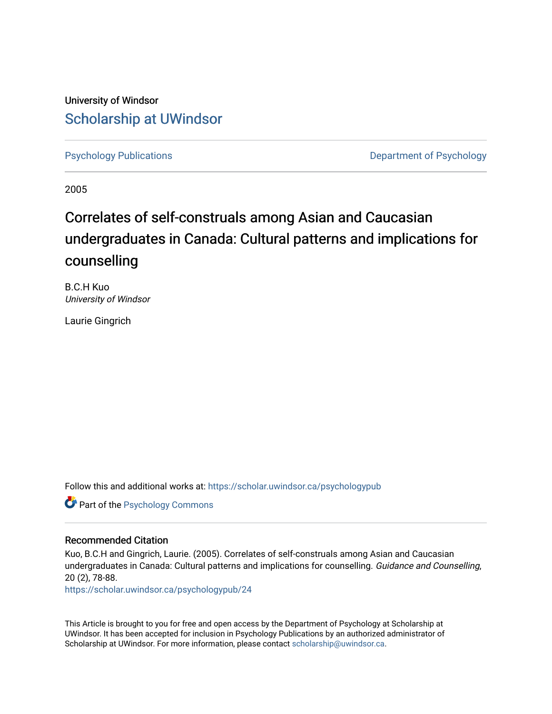University of Windsor [Scholarship at UWindsor](https://scholar.uwindsor.ca/) 

[Psychology Publications](https://scholar.uwindsor.ca/psychologypub) **Department of Psychology** 

2005

# Correlates of self-construals among Asian and Caucasian undergraduates in Canada: Cultural patterns and implications for counselling

B.C.H Kuo University of Windsor

Laurie Gingrich

Follow this and additional works at: [https://scholar.uwindsor.ca/psychologypub](https://scholar.uwindsor.ca/psychologypub?utm_source=scholar.uwindsor.ca%2Fpsychologypub%2F24&utm_medium=PDF&utm_campaign=PDFCoverPages) 

Part of the [Psychology Commons](http://network.bepress.com/hgg/discipline/404?utm_source=scholar.uwindsor.ca%2Fpsychologypub%2F24&utm_medium=PDF&utm_campaign=PDFCoverPages) 

#### Recommended Citation

Kuo, B.C.H and Gingrich, Laurie. (2005). Correlates of self-construals among Asian and Caucasian undergraduates in Canada: Cultural patterns and implications for counselling. Guidance and Counselling, 20 (2), 78-88.

[https://scholar.uwindsor.ca/psychologypub/24](https://scholar.uwindsor.ca/psychologypub/24?utm_source=scholar.uwindsor.ca%2Fpsychologypub%2F24&utm_medium=PDF&utm_campaign=PDFCoverPages)

This Article is brought to you for free and open access by the Department of Psychology at Scholarship at UWindsor. It has been accepted for inclusion in Psychology Publications by an authorized administrator of Scholarship at UWindsor. For more information, please contact [scholarship@uwindsor.ca.](mailto:scholarship@uwindsor.ca)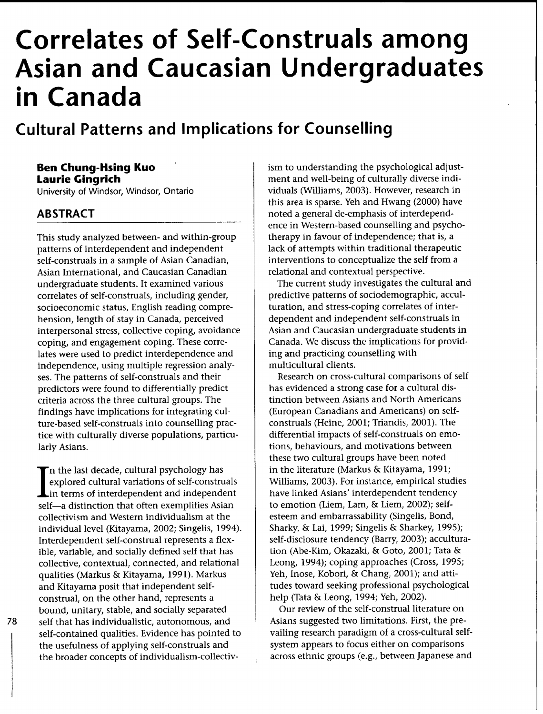# Correlates of Self-Construals among Asian and Caucasian Undergraduates in Canada

# Cultural Patterns and Implications for Counselling

# Ben Chung-Hsing Kuo Laurie Gingrich

University of Windsor, Windsor, Ontario

# ABSTRACT

This study analyzed between- and within-group patterns of interdependent and independent self-construals in a sample of Asian Canadian, Asian International, and Caucasian Canadian undergraduate students. It examined various correlates of self-construals, including gender, socioeconomic status, English reading comprehension, length of stay in Canada, perceived interpersonal stress, collective coping, avoidance coping, and engagement coping. These correlates were used to predict interdependence and independence, using multiple regression analyses. The patterns of self-construals and their predictors were found to differentially predict criteria across the three cultural groups. The findings have implications for integrating culture-based self-construals into counselling practice with culturally diverse populations, particularly Asians.

**In** the last decade, cultural psychology has explored cultural variations of self-construals **L** in terms of interdependent and independent self-a distinction that often exemplifies Asian collectivism and Western individualism at the individual level (Kitayama, 2002; Singelis, 1994). Interdependent self-construal represents a flexible, variable, and socially defined self that has collective, contextual, connected, and relational qualities (Markus & Kitayama, 1991). Markus and Kitayama posit that independent selfconstrual, on the other hand, represents a bound, unitary, stable, and socially separated self that has individualistic, autonomous, and self-contained qualities. Evidence has pointed to the usefulness of applying self-construals and the broader concepts of individualism-collectivism to understanding the psychological adjustment and well-being of culturally diverse individuals (Williams, 2003). However, research in this area is sparse. Yeh and Hwang (2000) have noted a general de-emphasis of interdependence in Western-based counselling and psychotherapy in favour of independence; that is, a lack of attempts within traditional therapeutic interventions to conceptualize the self from a relational and contextual perspective.

The current study investigates the cultural and predictive patterns of sociodemographic, acculturation, and stress-coping correlates of interdependent and independent self-construals in Asian and Caucasian undergraduate students in Canada. We discuss the implications for providing and practicing counselling with multicultural clients.

Research on cross-cultural comparisons of self has evidenced a strong case for a cultural distinction between Asians and North Americans (European Canadians and Americans) on selfconstruals (Heine, 2001; Triandis, 2001). The differential impacts of self-construals on emotions, behaviours, and motivations between these two cultural groups have been noted in the literature (Markus & Kitayama, 1991; Williams, 2003). For instance, empirical studies have linked Asians' interdependent tendency to emotion (Liem, Lam, & Liem, 2002); selfesteem and embarrassability (Singelis, Bond, Sharky, & Lai, 1999; Singelis & Sharkey, 1995); self-disclosure tendency (Barry, 2003); acculturation (Abe-Kim, Okazaki, & Goto, 2001; Tata & Leong, 1994); coping approaches (Cross, 1995; Yeh, Inose, Kobori, & Chang, 2001); and attitudes toward seeking professional psychological help (Tata & Leong, 1994; Yeh, 2002).

Our review of the self-construal literature on Asians suggested two limitations. First, the prevailing research paradigm of a cross-cultural selfsystem appears to focus either on comparisons across ethnic groups (e.g., between Japanese and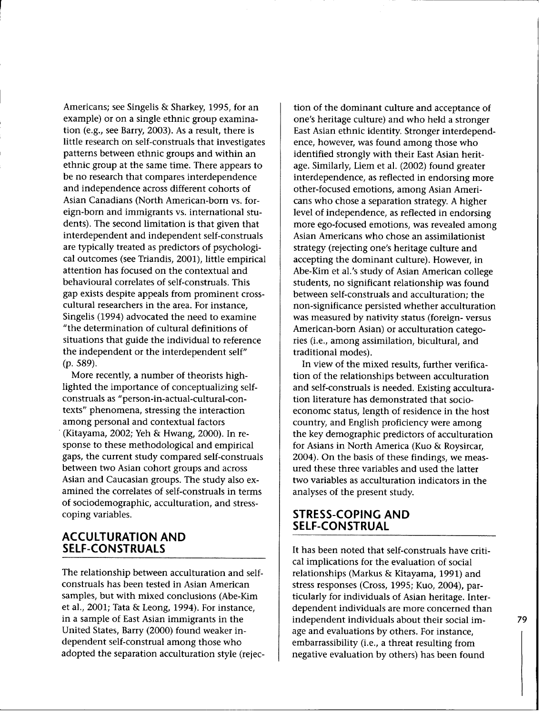Americans; see Singelis & Sharkey, 1995, for an example) or on a single ethnic group examination (e.g., see Barry, 2003). As a result, there is little research on self-construals that investigates patterns between ethnic groups and within an ethnic group at the same time. There appears to be no research that compares interdependence and independence across different cohorts of Asian Canadians (North American-born vs. foreign-born and immigrants vs. international students). The second limitation is that given that interdependent and independent self-construals are typically treated as predictors of psychological outcomes (see Triandis, 2001), little empirical attention has focused on the contextual and behavioural correlates of self-construals. This gap exists despite appeals from prominent crosscultural researchers in the area. For instance, Singelis (1994) advocated the need to examine "the determination of cultural definitions of situations that guide the individual to reference the independent or the interdependent self" (p. 589).

More recently, a number of theorists highlighted the importance of conceptualizing selfconstruals as "person-in-actual-cultural-contexts" phenomena, stressing the interaction among personal and contextual factors (Kitayama, 2002; Yeh & Hwang, 2000). In response to these methodological and empirical gaps, the current study compared self-construals between two Asian cohort groups and across Asian and Caucasian groups. The study also examined the correlates of self-construals in terms of sociodemographic, acculturation, and stresscoping variables.

## **ACCULTURATION AND SELF-CONSTRUALS**

The relationship between acculturation and selfconstruals has been tested in Asian American samples, but with mixed conclusions (Abe-Kim et al., 2001; Tata & Leong, 1994). For instance, in a sample of East Asian immigrants in the United States, Barry (2000) found weaker independent self-construal among those who adopted the separation acculturation style (rejec-

tion of the dominant culture and acceptance of one's heritage culture) and who held a stronger East Asian ethnic identity. Stronger interdependence, however, was found among those who identified strongly with their East Asian heritage. Similarly, Liem et al. (2002) found greater interdependence, as reflected in endorsing more other-focused emotions, among Asian Americans who chose a separation strategy. A higher level of independence, as reflected in endorsing more ego-focused emotions, was revealed among Asian Americans who chose an assimilationist strategy (rejecting one's heritage culture and accepting the dominant culture). However, in Abe-Kim et al.'s study of Asian American college students, no significant relationship was found between self-construals and acculturation; the non-significance persisted whether acculturation was measured by nativity status (foreign- versus American-born Asian) or acculturation categories (i.e., among assimilation, bicultural, and traditional modes).

In view of the mixed results, further verification of the relationships between acculturation and self-construals is needed. Existing acculturation literature has demonstrated that socioeconomc status, length of residence in the host country, and English proficiency were among the key demographic predictors of acculturation for Asians in North America (Kuo & Roysircar, 2004). On the basis of these findings, we measured these three variables and used the latter two variables as acculturation indicators in the analyses of the present study.

# **STRESS-COPING AND SELF-CONSTRUAL**

It has been noted that self-construals have critical implications for the evaluation of social relationships (Markus & Kitayama, 1991) and stress responses (Cross, 1995; Kuo, 2004), particularly for individuals of Asian heritage. Interdependent individuals are more concerned than independent individuals about their social image and evaluations by others. For instance, embarrassibility (i.e., a threat resulting from negative evaluation by others) has been found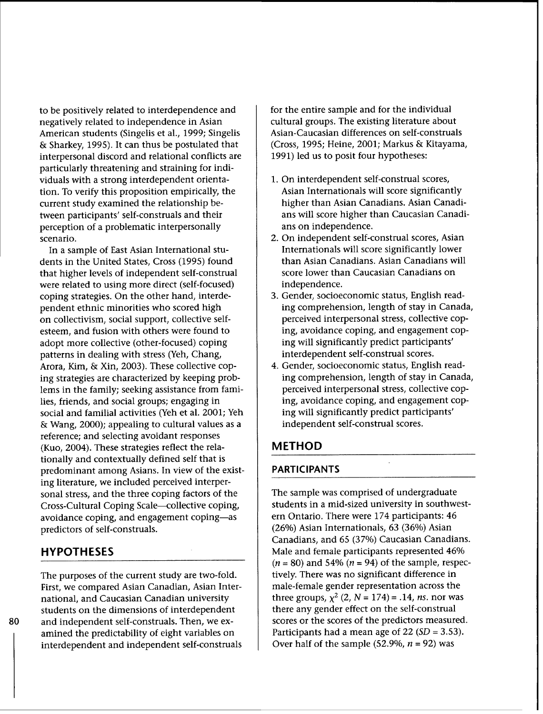to be positively related to interdependence and negatively related to independence in Asian American students (Singelis et al., 1999; Singelis & Sharkey, 1995). It can thus be postulated that interpersonal discord and relational conflicts are particularly threatening and straining for individuals with a strong interdependent orientation. To verify this proposition empirically, the current study examined the relationship between participants' self-construals and their perception of a problematic interpersonally scenario.

In a sample of East Asian International students in the United States, Cross (1995) found that higher levels of independent self-construal were related to using more direct (self-focused) coping strategies. On the other hand, interdependent ethnic minorities who scored high on collectivism, social support, collective selfesteem, and fusion with others were found to adopt more collective (other-focused) coping patterns in dealing with stress (Yeh, Chang, Arora, Kim, & Xin, 2003). These collective coping strategies are characterized by keeping problems in the family; seeking assistance from families, friends, and social groups; engaging in social and familial activities (Yeh et al. 2001; Yeh & Wang, 2000); appealing to cultural values as a reference; and selecting avoidant responses (Kuo, 2004). These strategies reflect the relationally and contextually defined self that is predominant among Asians. In view of the existing literature, we included perceived interpersonal stress, and the three coping factors of the Cross-Cultural Coping Scale-collective coping, avoidance coping, and engagement coping-as predictors of self-construals.

# HYPOTHESES

The purposes of the current study are two-fold. First, we compared Asian Canadian, Asian International, and Caucasian Canadian university students on the dimensions of interdependent and independent self-construals. Then, we examined the predictability of eight variables on interdependent and independent self-construals for the entire sample and for the individual cultural groups. The existing literature about Asian-Caucasian differences on self-construals (Cross, 1995; Heine, 2001; Markus & Kitayama, 1991) led us to posit four hypotheses:

- 1. On interdependent self-construal scores, Asian Internationals will score significantly higher than Asian Canadians. Asian Canadians will score higher than Caucasian Canadians on independence.
- 2. On independent self-construal scores, Asian Internationals will score significantly lower than Asian Canadians. Asian Canadians will score lower than Caucasian Canadians on independence.
- 3. Gender, socioeconomic status, English reading comprehension, length of stay in Canada, perceived interpersonal stress, collective coping, avoidance coping, and engagement coping will significantly predict participants' interdependent self-construal scores.
- 4. Gender, socioeconomic status, English reading comprehension, length of stay in Canada, perceived interpersonal stress, collective coping, avoidance coping, and engagement coping will significantly predict participants' independent self-construal scores.

## METHOD

#### PARTICIPANTS

The sample was comprised of undergraduate students in a mid-sized university in southwestern Ontario. There were 174 participants: 46 (26%) Asian Internationals, 63 (36%) Asian Canadians, and 65 (37%) Caucasian Canadians. Male and female participants represented 46% *(n* **=** 80) and 54% *(n* = 94) of the sample, respectively. There was no significant difference in male-female gender representation across the three groups,  $\chi^2$  (2,  $N = 174$ ) = .14, *ns.* nor was there any gender effect on the self-construal scores or the scores of the predictors measured. Participants had a mean age of 22 *(SD* = 3.53). Over half of the sample (52.9%, *n* = 92) was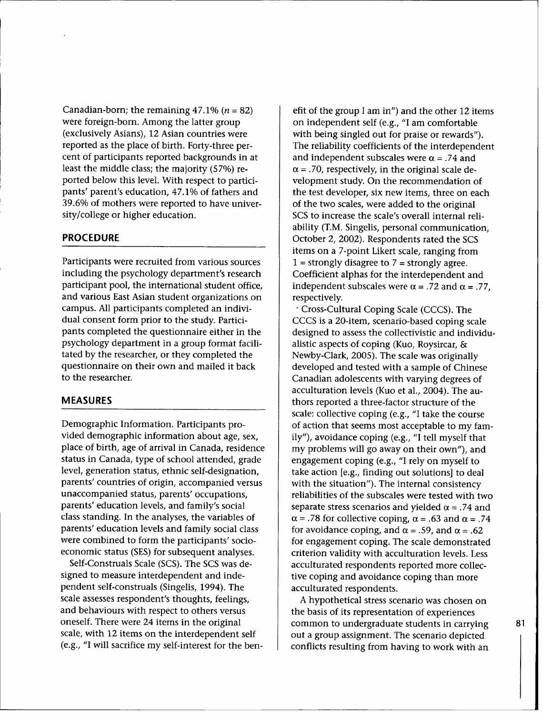Canadian-born; the remaining  $47.1\%$   $(n = 82)$ were foreign-born. Among the latter group (exclusively Asians), 12 Asian countries were reported as the place of birth. Forty-three percent of participants reported backgrounds in at least the middle class; the majority (57%) reported below this level. With respect to participants' parent's education, 47.1% of fathers and 39.6% of mothers were reported to have university/college or higher education.

#### PROCEDURE

Participants were recruited from various sources including the psychology department's research participant pool, the international student office, and various East Asian student organizations on campus. All participants completed an individual consent form prior to the study. Participants completed the questionnaire either in the psychology department in a group format facilitated by the researcher, or they completed the questionnaire on their own and mailed it back to the researcher.

#### **MEASURES**

Demographic Information. Participants provided demographic information about age, sex, place of birth, age of arrival in Canada, residence status in Canada, type of school attended, grade level, generation status, ethnic self-designation, parents' countries of origin, accompanied versus unaccompanied status, parents' occupations, parents' education levels, and family's social class standing. In the analyses, the variables of parents' education levels and family social class were combined to form the participants' socioeconomic status (SES) for subsequent analyses.

Self-Construals Scale (SCS). The SCS was designed to measure interdependent and independent self-construals (Singelis, 1994). The scale assesses respondent's thoughts, feelings, and behaviours with respect to others versus oneself. There were 24 items in the original scale, with 12 items on the interdependent self (e.g., "I will sacrifice my self-interest for the ben-

efit of the group I am in") and the other 12 items on independent self (e.g., "I am comfortable with being singled out for praise or rewards"). The reliability coefficients of the interdependent and independent subscales were  $\alpha$  = .74 and  $\alpha$  = .70, respectively, in the original scale development study. On the recommendation of the test developer, six new items, three on each of the two scales, were added to the original SCS to increase the scale's overall internal reliability (T.M. Singelis, personal communication, October 2, 2002). Respondents rated the SCS items on a 7-point Likert scale, ranging from  $1 =$  strongly disagree to  $7 =$  strongly agree. Coefficient alphas for the interdependent and independent subscales were  $\alpha$  = .72 and  $\alpha$  = .77, respectively.

• Cross-Cultural Coping Scale (CCCS). The CCCS is a 20-item, scenario-based coping scale designed to assess the collectivistic and individualistic aspects of coping (Kuo, Roysircar, & Newby-Clark, 2005). The scale was originally developed and tested with a sample of Chinese Canadian adolescents with varying degrees of acculturation levels (Kuo et al., 2004). The authors reported a three-factor structure of the scale: collective coping (e.g., "I take the course of action that seems most acceptable to my family"), avoidance coping (e.g., "I tell myself that my problems will go away on their own"), and engagement coping (e.g., "I rely on myself to take action [e.g., finding out solutions] to deal with the situation"). The internal consistency reliabilities of the subscales were tested with two separate stress scenarios and yielded  $\alpha$  = .74 and  $\alpha$  = .78 for collective coping,  $\alpha$  = .63 and  $\alpha$  = .74 for avoidance coping, and  $\alpha = .59$ , and  $\alpha = .62$ for engagement coping. The scale demonstrated criterion validity with acculturation levels. Less acculturated respondents reported more collective coping and avoidance coping than more acculturated respondents.

A hypothetical stress scenario was chosen on the basis of its representation of experiences common to undergraduate students in carrying out a group assignment. The scenario depicted conflicts resulting from having to work with an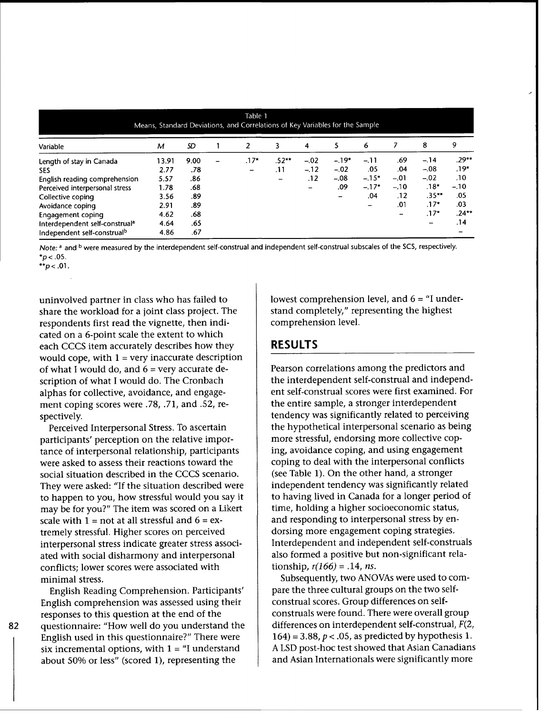| Table 1<br>Means, Standard Deviations, and Correlations of Key Variables for the Sample |       |      |  |        |         |        |        |         |        |          |         |
|-----------------------------------------------------------------------------------------|-------|------|--|--------|---------|--------|--------|---------|--------|----------|---------|
| Variable                                                                                | м     | SD   |  | 2      | 3       | 4      | 5      | 6       |        | 8        | 9       |
| Length of stay in Canada                                                                | 13.91 | 9.00 |  | $.17*$ | $.52**$ | $-.02$ | $-19*$ | $-.11$  | .69    | $-.14$   | .29**   |
| SES.                                                                                    | 2.77  | .78  |  | -      | .11     | $-.12$ | $-.02$ | .05     | .04    | $-.08$   | .19*    |
| English reading comprehension                                                           | 5.57  | .86  |  |        | -       | .12    | $-.08$ | $-.15*$ | $-.01$ | $-.02$   | .10     |
| Perceived interpersonal stress                                                          | 1.78  | .68  |  |        |         | -      | .09    | $-.17*$ | $-.10$ | $.18*$   | $-.10$  |
| Collective coping                                                                       | 3.56  | .89  |  |        |         |        |        | .04     | .12    | $.35***$ | .05     |
| Avoidance coping                                                                        | 2.91  | .89  |  |        |         |        |        |         | .01    | $.17*$   | .03     |
| Engagement coping                                                                       | 4.62  | .68  |  |        |         |        |        |         |        | $.17*$   | $.24**$ |
| Interdependent self-construal <sup>a</sup>                                              | 4.64  | .65  |  |        |         |        |        |         |        | -        | .14     |
| Independent self-construal <sup>b</sup>                                                 | 4.86  | .67  |  |        |         |        |        |         |        |          |         |

*Note:* a and **b** were measured by the interdependent self-construal and independent self-construal subscales of the SCS, respectively.  $*p$  < .05.

**\*\*p** < .01.

82

uninvolved partner in class who has failed to share the workload for a joint class project. The respondents first read the vignette, then indicated on a 6-point scale the extent to which each CCCS item accurately describes how they would cope, with  $1 =$  very inaccurate description of what I would do, and  $6 =$  very accurate description of what I would do. The Cronbach alphas for collective, avoidance, and engagement coping scores were .78, .71, and .52, respectively.

Perceived Interpersonal Stress. To ascertain participants' perception on the relative importance of interpersonal relationship, participants were asked to assess their reactions toward the social situation described in the CCCS scenario. They were asked: "If the situation described were to happen to you, how stressful would you say it may be for you?" The item was scored on a Likert scale with  $1 = not$  at all stressful and  $6 = ex$ tremely stressful. Higher scores on perceived interpersonal stress indicate greater stress associated with social disharmony and interpersonal conflicts; lower scores were associated with minimal stress.

English Reading Comprehension. Participants' English comprehension was assessed using their responses to this question at the end of the questionnaire: "How well do you understand the English used in this questionnaire?" There were six incremental options, with  $1 =$   $\text{``I}$  understand about 50% or less" (scored 1), representing the

lowest comprehension level, and  $6 =$  "I understand completely," representing the highest comprehension level.

# **RESULTS**

Pearson correlations among the predictors and the interdependent self-construal and independent self-construal scores were first examined. For the entire sample, a stronger interdependent tendency was significantly related to perceiving the hypothetical interpersonal scenario as being more stressful, endorsing more collective coping, avoidance coping, and using engagement coping to deal with the interpersonal conflicts (see Table 1). On the other hand, a stronger independent tendency was significantly related to having lived in Canada for a longer period of time, holding a higher socioeconomic status, and responding to interpersonal stress by endorsing more engagement coping strategies. Interdependent and independent self-construals also formed a positive but non-significant relationship,  $r(166) = .14$ , *ns.* 

Subsequently, two ANOVAs were used to compare the three cultural groups on the two selfconstrual scores. Group differences on selfconstruals were found. There were overall group differences on interdependent self-construal, F(2, 164) = 3.88,  $p < .05$ , as predicted by hypothesis 1. A LSD post-hoc test showed that Asian Canadians and Asian Internationals were significantly more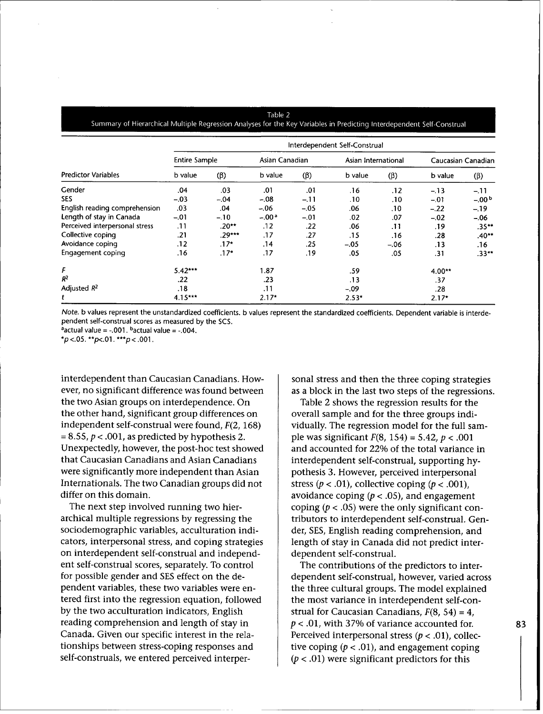#### Table 2 Summary of Hierarchical Multiple Regression Analyses for the Key Variables in Predicting Interdependent Self-Construal

|                                | Interdependent Self-Construal |           |                |           |                     |           |                    |             |  |  |
|--------------------------------|-------------------------------|-----------|----------------|-----------|---------------------|-----------|--------------------|-------------|--|--|
| <b>Predictor Variables</b>     | <b>Entire Sample</b>          |           | Asian Canadian |           | Asian International |           | Caucasian Canadian |             |  |  |
|                                | b value                       | $(\beta)$ | b value        | $(\beta)$ | b value             | $(\beta)$ | b value            | $(\beta)$   |  |  |
| Gender                         | .04                           | .03       | .01            | .01       | .16                 | .12       | $-.13$             | $-11$       |  |  |
| <b>SES</b>                     | $-.03$                        | $-.04$    | $-.08$         | $-.11$    | .10                 | .10       | $-.01$             | $-0.00^{b}$ |  |  |
| English reading comprehension  | .03                           | .04       | $-.06$         | $-.05$    | .06                 | .10       | $-.22$             | $-.19$      |  |  |
| Length of stay in Canada       | $-.01$                        | $-.10$    | $-.00a$        | $-.01$    | .02                 | .07       | $-.02$             | $-.06$      |  |  |
| Perceived interpersonal stress | .11                           | $.20**$   | .12            | .22       | .06                 | .11       | .19                | $.35***$    |  |  |
| Collective coping              | .21                           | $.29***$  | .17            | .27       | .15                 | .16       | .28                | $.40**$     |  |  |
| Avoidance coping               | .12                           | $.17*$    | .14            | .25       | $-.05$              | $-.06$    | .13                | .16         |  |  |
| Engagement coping              | .16                           | $.17*$    | .17            | .19       | .05                 | .05       | .31                | $.33***$    |  |  |
| F                              | $5.42***$                     |           | 1.87           |           | .59                 |           | 4.00**             |             |  |  |
| $R^2$                          | .22                           |           | .23            |           | .13                 |           | .37                |             |  |  |
| Adjusted $R^2$                 | .18                           |           |                | .11       |                     |           | .28                |             |  |  |
| t                              | $4.15***$                     |           | $2.17*$        |           | $2.53*$             |           | $2.17*$            |             |  |  |

*Note.* b values represent the unstandardized coefficients. b values represent the standardized coefficients. Dependent variable is interdependent self-construal scores as measured by the SCS.

aactual value **=** -.001. bactual value = -.004.

 $*p$  <.05.  $*p$  <.01.  $**p$  <.001.

interdependent than Caucasian Canadians. However, no significant difference was found between the two Asian groups on interdependence. On the other hand, significant group differences on independent self-construal were found, F(2, 168)  $= 8.55$ ,  $p < .001$ , as predicted by hypothesis 2. Unexpectedly, however, the post-hoc test showed that Caucasian Canadians and Asian Canadians were significantly more independent than Asian Internationals. The two Canadian groups did not differ on this domain.

The next step involved running two hierarchical multiple regressions by regressing the sociodemographic variables, acculturation indicators, interpersonal stress, and coping strategies on interdependent self-construal and independent self-construal scores, separately. To control for possible gender and SES effect on the dependent variables, these two variables were entered first into the regression equation, followed by the two acculturation indicators, English reading comprehension and length of stay in Canada. Given our specific interest in the relationships between stress-coping responses and self-construals, we entered perceived interpersonal stress and then the three coping strategies as a block in the last two steps of the regressions.

Table 2 shows the regression results for the overall sample and for the three groups individually. The regression model for the full sample was significant  $F(8, 154) = 5.42$ ,  $p < .001$ and accounted for 22% of the total variance in interdependent self-construal, supporting hypothesis 3. However, perceived interpersonal stress ( $p < .01$ ), collective coping ( $p < .001$ ), avoidance coping ( $p < .05$ ), and engagement coping ( $p < .05$ ) were the only significant contributors to interdependent self-construal. Gender, SES, English reading comprehension, and length of stay in Canada did not predict interdependent self-construal.

The contributions of the predictors to interdependent self-construal, however, varied across the three cultural groups. The model explained the most variance in interdependent self-construal for Caucasian Canadians,  $F(8, 54) = 4$ ,  $p < .01$ , with 37% of variance accounted for. Perceived interpersonal stress ( $p < .01$ ), collective coping ( $p < .01$ ), and engagement coping  $(p < .01)$  were significant predictors for this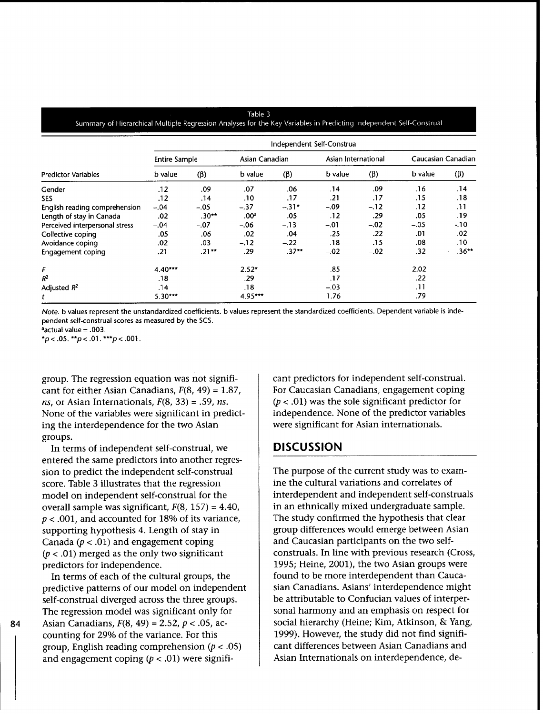#### Table 3 Summary of Hierarchical Multiple Regression Analyses for the Key Variables in Predicting Independent Self-Construal

| <b>Predictor Variables</b>     | Independent Self-Construal |           |                  |           |                     |           |                    |           |  |  |
|--------------------------------|----------------------------|-----------|------------------|-----------|---------------------|-----------|--------------------|-----------|--|--|
|                                | <b>Entire Sample</b>       |           | Asian Canadian   |           | Asian International |           | Caucasian Canadian |           |  |  |
|                                | b value                    | $(\beta)$ | b value          | $(\beta)$ | b value             | $(\beta)$ | b value            | $(\beta)$ |  |  |
| Gender                         | .12                        | .09       | .07              | .06       | .14                 | .09       | .16                | .14       |  |  |
| SES.                           | .12                        | .14       | .10              | .17       | .21                 | .17       | .15                | .18       |  |  |
| English reading comprehension  | $-.04$                     | $-.05$    | $-.37$           | $-31*$    | $-.09$              | $-.12$    | .12                | .11       |  |  |
| Length of stay in Canada       | .02                        | $.30**$   | .00 <sup>a</sup> | .05       | .12                 | .29       | .05                | .19       |  |  |
| Perceived interpersonal stress | $-.04$                     | $-.07$    | $-.06$           | $-.13$    | $-01$               | $-.02$    | $-.05$             | $-10$     |  |  |
| Collective coping              | .05                        | .06       | .02              | .04       | .25                 | .22       | .01                | .02       |  |  |
| Avoidance coping               | .02                        | .03       | $-.12$           | $-.22$    | .18                 | .15       | .08                | .10       |  |  |
| Engagement coping              | .21                        | $.21**$   | .29              | $.37**$   | $-.02$              | $-.02$    | .32                | $.36***$  |  |  |
| F                              | $4.40***$                  |           | $2.52*$          |           | .85                 |           | 2.02               |           |  |  |
| $R^2$                          | .18                        |           | .29              |           | .17                 |           | .22                |           |  |  |
| Adjusted $R^2$                 | .14                        |           | .18              |           | $-.03$              |           | .11                |           |  |  |
| t                              | $5.30***$                  |           | $4.95***$        |           | 1.76                |           | .79                |           |  |  |

*Note.* b values represent the unstandardized coefficients. b values represent the standardized coefficients. Dependent variable is independent self-construal scores as measured by the SCS.

 $a$ actual value = .003.

84

*\*p* **<** .05. *\*\*p* < .01. *\*\*\*p* <.001.

group. The regression equation was not significant for either Asian Canadians, F(8, 49) **=** 1.87, *ns,* or Asian Internationals, F(8, 33) **=** .59, *ns.* None of the variables were significant in predicting the interdependence for the two Asian groups.

In terms of independent self-construal, we entered the same predictors into another regression to predict the independent self-construal score. Table 3 illustrates that the regression model on independent self-construal for the overall sample was significant, F(8, 157) **=** 4.40,  $p < .001$ , and accounted for 18% of its variance, supporting hypothesis 4. Length of stay in Canada ( $p < .01$ ) and engagement coping  $(p < .01)$  merged as the only two significant predictors for independence.

In terms of each of the cultural groups, the predictive patterns of our model on independent self-construal diverged across the three groups. The regression model was significant only for Asian Canadians, F(8, 49) **=** 2.52, p < .05, accounting for 29% of the variance. For this group, English reading comprehension ( $p < .05$ ) and engagement coping  $(p < .01)$  were significant predictors for independent self-construal. For Caucasian Canadians, engagement coping  $(p < .01)$  was the sole significant predictor for independence. None of the predictor variables were significant for Asian internationals.

## **DISCUSSION**

The purpose of the current study was to examine the cultural variations and correlates of interdependent and independent self-construals in an ethnically mixed undergraduate sample. The study confirmed the hypothesis that clear group differences would emerge between Asian and Caucasian participants on the two selfconstruals. In line with previous research (Cross, 1995; Heine, 2001), the two Asian groups were found to be more interdependent than Caucasian Canadians. Asians' interdependence might be attributable to Confucian values of interpersonal harmony and an emphasis on respect for social hierarchy (Heine; Kim, Atkinson, & Yang, 1999). However, the study did not find significant differences between Asian Canadians and Asian Internationals on interdependence, de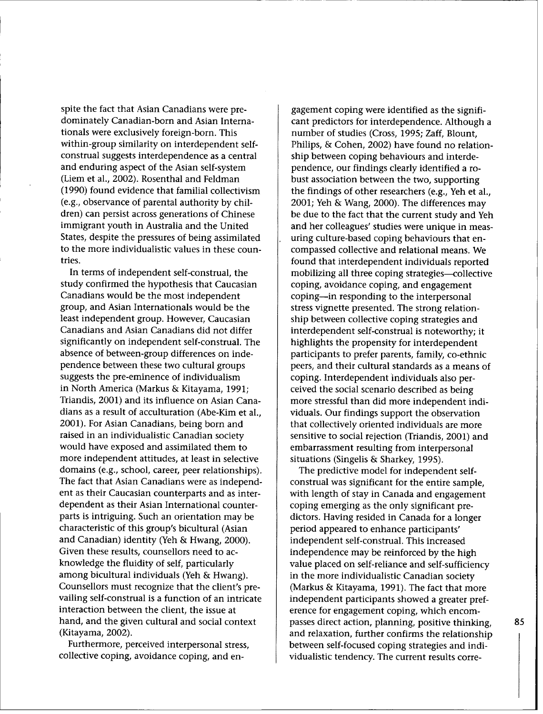spite the fact that Asian Canadians were predominately Canadian-born and Asian Internationals were exclusively foreign-born. This within-group similarity on interdependent selfconstrual suggests interdependence as a central and enduring aspect of the Asian self-system (Liem et al., 2002). Rosenthal and Feldman (1990) found evidence that familial collectivism (e.g., observance of parental authority by children) can persist across generations of Chinese immigrant youth in Australia and the United States, despite the pressures of being assimilated to the more individualistic values in these countries.

In terms of independent self-construal, the study confirmed the hypothesis that Caucasian Canadians would be the most independent group, and Asian Internationals would be the least independent group. However, Caucasian Canadians and Asian Canadians did not differ significantly on independent self-construal. The absence of between-group differences on independence between these two cultural groups suggests the pre-eminence of individualism in North America (Markus & Kitayama, 1991; Triandis, 2001) and its influence on Asian Canadians as a result of acculturation (Abe-Kim et al., 2001). For Asian Canadians, being born and raised in an individualistic Canadian society would have exposed and assimilated them to more independent attitudes, at least in selective domains (e.g., school, career, peer relationships). The fact that Asian Canadians were as independent as their Caucasian counterparts and as interdependent as their Asian International counterparts is intriguing. Such an orientation may be characteristic of this group's bicultural (Asian and Canadian) identity (Yeh & Hwang, 2000). Given these results, counsellors need to acknowledge the fluidity of self, particularly among bicultural individuals (Yeh & Hwang). Counsellors must recognize that the client's prevailing self-construal is a function of an intricate interaction between the client, the issue at hand, and the given cultural and social context (Kitayama, 2002).

Furthermore, perceived interpersonal stress, collective coping, avoidance coping, and en-

gagement coping were identified as the significant predictors for interdependence. Although a number of studies (Cross, 1995; Zaff, Blount, Philips, & Cohen, 2002) have found no relationship between coping behaviours and interdependence, our findings clearly identified a robust association between the two, supporting the findings of other researchers (e.g., Yeh et al., 2001; Yeh & Wang, 2000). The differences may be due to the fact that the current study and Yeh and her colleagues' studies were unique in measuring culture-based coping behaviours that encompassed collective and relational means. We found that interdependent individuals reported mobilizing all three coping strategies-collective coping, avoidance coping, and engagement coping-in responding to the interpersonal stress vignette presented. The strong relationship between collective coping strategies and interdependent self-construal is noteworthy; it highlights the propensity for interdependent participants to prefer parents, family, co-ethnic peers, and their cultural standards as a means of coping. Interdependent individuals also perceived the social scenario described as being more stressful than did more independent individuals. Our findings support the observation that collectively oriented individuals are more sensitive to social rejection (Triandis, 2001) and embarrassment resulting from interpersonal situations (Singelis & Sharkey, 1995).

The predictive model for independent selfconstrual was significant for the entire sample, with length of stay in Canada and engagement coping emerging as the only significant predictors. Having resided in Canada for a longer period appeared to enhance participants' independent self-construal. This increased independence may be reinforced by the high value placed on self-reliance and self-sufficiency in the more individualistic Canadian society (Markus & Kitayama, 1991). The fact that more independent participants showed a greater preference for engagement coping, which encompasses direct action, planning, positive thinking, and relaxation, further confirms the relationship between self-focused coping strategies and individualistic tendency. The current results corre-

85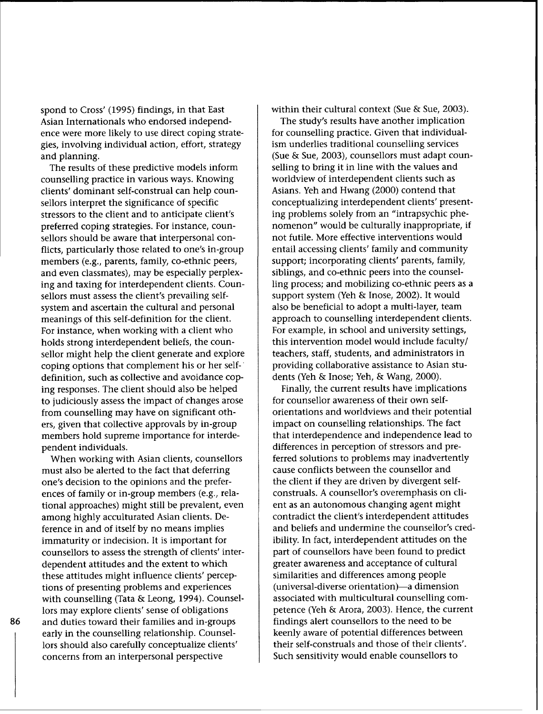spond to Cross' (1995) findings, in that East Asian Internationals who endorsed independence were more likely to use direct coping strategies, involving individual action, effort, strategy and planning.

The results of these predictive models inform counselling practice in various ways. Knowing clients' dominant self-construal can help counsellors interpret the significance of specific stressors to the client and to anticipate client's preferred coping strategies. For instance, counsellors should be aware that interpersonal conflicts, particularly those related to one's in-group members (e.g., parents, family, co-ethnic peers, and even classmates), may be especially perplexing and taxing for interdependent clients. Counsellors must assess the client's prevailing selfsystem and ascertain the cultural and personal meanings of this self-definition for the client. For instance, when working with a client who holds strong interdependent beliefs, the counsellor might help the client generate and explore coping options that complement his or her selfdefinition, such as collective and avoidance coping responses. The client should also be helped to judiciously assess the impact of changes arose from counselling may have on significant others, given that collective approvals by in-group members hold supreme importance for interdependent individuals.

When working with Asian clients, counsellors must also be alerted to the fact that deferring one's decision to the opinions and the preferences of family or in-group members (e.g., relational approaches) might still be prevalent, even among highly acculturated Asian clients. Deference in and of itself by no means implies immaturity or indecision. It is important for counsellors to assess the strength of clients' interdependent attitudes and the extent to which these attitudes might influence clients' perceptions of presenting problems and experiences with counselling (Tata & Leong, 1994). Counsellors may explore clients' sense of obligations and duties toward their families and in-groups early in the counselling relationship. Counsellors should also carefully conceptualize clients' concerns from an interpersonal perspective

within their cultural context (Sue & Sue, 2003).

The study's results have another implication for counselling practice. Given that individualism underlies traditional counselling services (Sue & Sue, 2003), counsellors must adapt counselling to bring it in line with the values and worldview of interdependent clients such as Asians. Yeh and Hwang (2000) contend that conceptualizing interdependent clients' presenting problems solely from an "intrapsychic phenomenon" would be culturally inappropriate, if not futile. More effective interventions would entail accessing clients' family and community support; incorporating clients' parents, family, siblings, and co-ethnic peers into the counselling process; and mobilizing co-ethnic peers as a support system (Yeh & Inose, 2002). It would also be beneficial to adopt a multi-layer, team approach to counselling interdependent clients. For example, in school and university settings, this intervention model would include faculty/ teachers, staff, students, and administrators in providing collaborative assistance to Asian students (Yeh & Inose; Yeh, & Wang, 2000).

Finally, the current results have implications for counsellor awareness of their own selforientations and worldviews and their potential impact on counselling relationships. The fact that interdependence and independence lead to differences in perception of stressors and preferred solutions to problems may inadvertently cause conflicts between the counsellor and the client if they are driven by divergent selfconstruals. A counsellor's overemphasis on client as an autonomous changing agent might contradict the client's interdependent attitudes and beliefs and undermine the counsellor's credibility. In fact, interdependent attitudes on the part of counsellors have been found to predict greater awareness and acceptance of cultural similarities and differences among people (universal-diverse orientation)-a dimension associated with multicultural counselling competence (Yeh & Arora, 2003). Hence, the current findings alert counsellors to the need to be keenly aware of potential differences between their self-construals and those of their clients'. Such sensitivity would enable counsellors to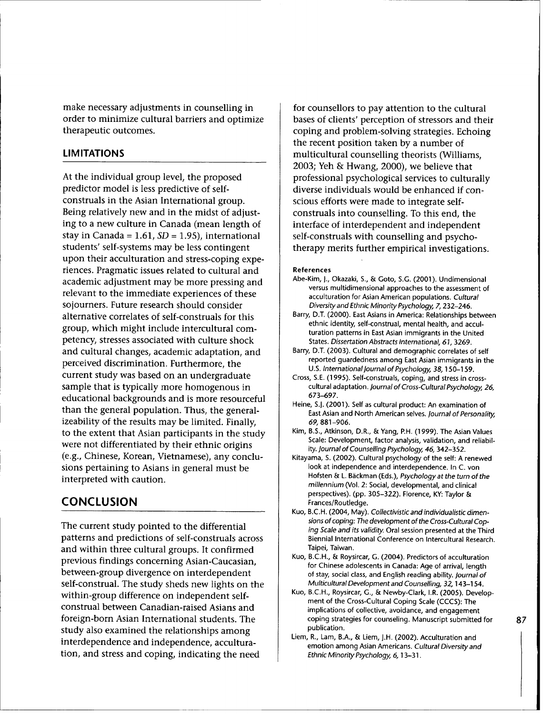make necessary adjustments in counselling in order to minimize cultural barriers and optimize therapeutic outcomes.

#### **LIMITATIONS**

At the individual group level, the proposed predictor model is less predictive of selfconstruals in the Asian International group. Being relatively new and in the midst of adjusting to a new culture in Canada (mean length of stay in Canada **=** 1.61, *SD* **=** 1.95), international students' self-systems may be less contingent upon their acculturation and stress-coping experiences. Pragmatic issues related to cultural and academic adjustment may be more pressing and relevant to the immediate experiences of these sojourners. Future research should consider alternative correlates of self-construals for this group, which might include intercultural competency, stresses associated with culture shock and cultural changes, academic adaptation, and perceived discrimination. Furthermore, the current study was based on an undergraduate sample that is typically more homogenous in educational backgrounds and is more resourceful than the general population. Thus, the generalizeability of the results may be limited. Finally, to the extent that Asian participants in the study were not differentiated by their ethnic origins (e.g., Chinese, Korean, Vietnamese), any conclusions pertaining to Asians in general must be interpreted with caution.

# **CONCLUSION**

The current study pointed to the differential patterns and predictions of self-construals across and within three cultural groups. It confirmed previous findings concerning Asian-Caucasian, between-group divergence on interdependent self-construal. The study sheds new lights on the within-group difference on independent selfconstrual between Canadian-raised Asians and foreign-born Asian International students. The study also examined the relationships among interdependence and independence, acculturation, and stress and coping, indicating the need

for counsellors to pay attention to the cultural bases of clients' perception of stressors and their coping and problem-solving strategies. Echoing the recent position taken by a number of multicultural counselling theorists (Williams, 2003; Yeh & Hwang, 2000), we believe that professional psychological services to culturally diverse individuals would be enhanced if conscious efforts were made to integrate selfconstruals into counselling. To this end, the interface of interdependent and independent self-construals with counselling and psychotherapy merits further empirical investigations.

#### References

- Abe-Kim, **J.,** Okazaki, S., & Goto, S.G. (2001). Undimensional versus multidimensional approaches to the assessment of acculturation for Asian American populations. *Cultural Diversity and Ethnic Minority Psychology, 7,* 232-246.
- Barry, D.T. (2000). East Asians in America: Relationships between ethnic identity, self-construal, mental health, and acculturation patterns in East Asian immigrants in the United States. *Dissertation Abstracts International,* 61, 3269.
- Barry, D.T. (2003). Cultural and demographic correlates of self reported guardedness among East Asian immigrants in the U.S. *International Journal of Psychology, 38,* 150-159.
- Cross, S.E. (1995). Self-construals, coping, and stress in crosscultural adaptation. *Journal of Cross-Cultural Psychology, 26,* 673-697.
- Heine, **S.J.** (2001). Self as cultural product: An examination of East Asian and North American selves. *Journal of Personality, 69,* 881-906.
- Kim, B.S., Atkinson, D.R., & Yang, P.H. (1999). The Asian Values Scale: Development, factor analysis, validation, and reliability. *Journal of Counselling Psychology, 46,* 342-352.
- Kitayama, **S.** (2002). Cultural psychology of the self: A renewed look at independence and interdependence. In C. von Hofsten & L. Bickman (Eds.), *Psychology at the turn of the millennium* (Vol. 2: Social, developmental, and clinical perspectives). (pp. 305-322). Florence, KY: Taylor & Frances/Routledge.
- Kuo, B.C.H. (2004, May). *Collectivistic and individualistic dimensions of coping: The development of the Cross-Cultural Coping Scale and its validity.* Oral session presented at the Third Biennial International Conference on Intercultural Research. Taipei, Taiwan.
- Kuo, B.C.H., & Roysircar, G. (2004). Predictors of acculturation for Chinese adolescents in Canada: Age of arrival, length of stay, social class, and English reading ability. *Journal of Multicultural Development and Counselling,* 32, 143-154.
- Kuo, B.C.H., Roysircar, **G.,** & Newby-Clark, I.R. (2005). Development of the Cross-Cultural Coping Scale (CCCS): The implications of collective, avoidance, and engagement coping strategies for counseling. Manuscript submitted for publication.
- Liem, R., Lam, B.A., & Liem, J.H. (2002). Acculturation and emotion among Asian Americans. *Cultural Diversity and Ethnic Minority Psychology, 6,* 13-31.

87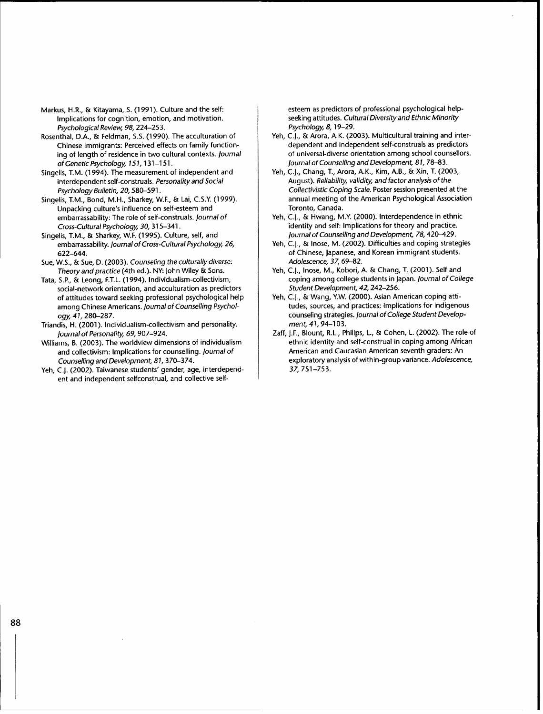- Markus, H.R., & Kitayama, S. (1991). Culture and the self: Implications for cognition, emotion, and motivation. *Psychological* Review, *98,* 224-253.
- Rosenthal, D.A., & Feldman, S.S. (1990). The acculturation of Chinese immigrants: Perceived effects on family functioning of length of residence in two cultural contexts. *Journal* of Genetic *Psychology, 151,* 131-151.
- Singelis, T.M. (1994). The measurement of independent and interdependent self-construals. *Personality* and *Social Psychology Bulletin,* 20,580-591.
- Singelis, T.M., Bond, M.H., Sharkey, W.F., & Lai, C.S.Y. (1999). Unpacking culture's influence on self-esteem and embarrassability: The role of self-construals. *Journal of Cross-Cultural Psychology,* 30, 315-341.
- Singelis, T.M., & Sharkey, W.F. (1995). Culture, self, and embarrassability. *Journal of Cross-Cultural Psychology, 26,* 622-644.
- Sue, W.S., & Sue, D. (2003). *Counseling the culturally diverse: Theory and practice* (4th ed.). NY: John Wiley & Sons.
- Tata, **S.P.,** & Leong, F.T.L. (1994). Individualism-collectivism, social-network orientation, and acculturation as predictors of attitudes toward seeking professional psychological help among Chinese Americans. *Journal of Counselling Psychology, 41,* 280-287.
- Triandis, H. (2001). Individualism-collectivism and personality. *Journal of Personality,* 69, 907-924.
- Williams, B. (2003). The worldview dimensions of individualism and collectivism: Implications for counselling. *Journal of Counselling and Development, 81,* 3 70-374.
- Yeh, **C.J.** (2002). Taiwanese students' gender, age, interdependent and independent selfconstrual, and collective self-

esteem as predictors of professional psychological helpseeking attitudes. *Cultural Diversity* and *Ethnic Minority Psychology, 8,* 19-29.

- Yeh, C.I., & Arora, A.K. (2003). Multicultural training and interdependent and independent self-construals as predictors of universal-diverse orientation among school counsellors. *Journal of Counselling and Development, 81,* 78-83.
- Yeh, C.J., Chang, T., Arora, A.K., Kim, A.B., & Xin, T. (2003, August). *Reliability, validity, and factor analysis of the Collectivistic Coping* Scale. Poster session presented at the annual meeting of the American Psychological Association Toronto, Canada.
- Yeh, **C.I.,** & Hwang, M.Y. (2000). Interdependence in ethnic identity and self: Implications for theory and practice. *Journal of Counselling and Development,* 78,420-429.
- Yeh, **C.J.,** & Inose, M. (2002). Difficulties and coping strategies of Chinese, Japanese, and Korean immigrant students. *Adolescence, 37,69-82.*
- Yeh, **C.J.,** Inose, M., Kobori, A. & Chang, T. (2001). Self and coping among college students in Japan. *Journal of College Student Development, 4Z* 242-256.
- Yeh, C.J., & Wang, Y.W. (2000). Asian American coping attitudes, sources, and practices: Implications for indigenous counseling strategies. *Journal of College Student Development,* 41, 94-103.
- Zaff, J.F., Blount, R.L., Philips, L., & Cohen, L. (2002). The role of ethnic identity and self-construal in coping among African American and Caucasian American seventh graders: An exploratory analysis of within-group variance. *Adolescence,* 37, 751-753.